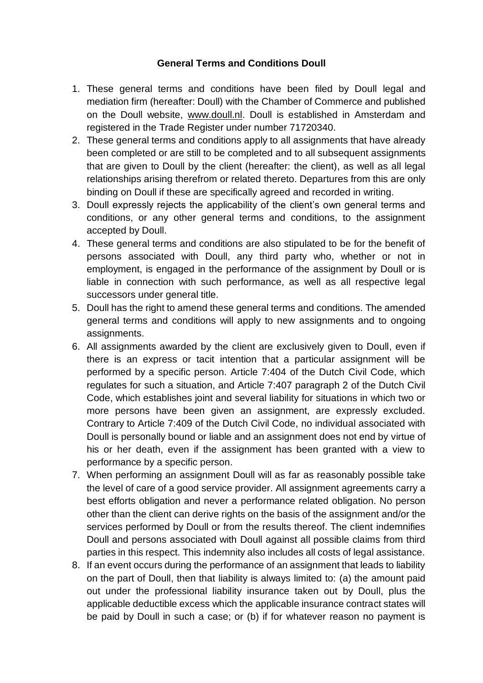## **General Terms and Conditions Doull**

- 1. These general terms and conditions have been filed by Doull legal and mediation firm (hereafter: Doull) with the Chamber of Commerce and published on the Doull website, [www.doull.nl.](http://www.doull.nl/) Doull is established in Amsterdam and registered in the Trade Register under number 71720340.
- 2. These general terms and conditions apply to all assignments that have already been completed or are still to be completed and to all subsequent assignments that are given to Doull by the client (hereafter: the client), as well as all legal relationships arising therefrom or related thereto. Departures from this are only binding on Doull if these are specifically agreed and recorded in writing.
- 3. Doull expressly rejects the applicability of the client's own general terms and conditions, or any other general terms and conditions, to the assignment accepted by Doull.
- 4. These general terms and conditions are also stipulated to be for the benefit of persons associated with Doull, any third party who, whether or not in employment, is engaged in the performance of the assignment by Doull or is liable in connection with such performance, as well as all respective legal successors under general title.
- 5. Doull has the right to amend these general terms and conditions. The amended general terms and conditions will apply to new assignments and to ongoing assignments.
- 6. All assignments awarded by the client are exclusively given to Doull, even if there is an express or tacit intention that a particular assignment will be performed by a specific person. Article 7:404 of the Dutch Civil Code, which regulates for such a situation, and Article 7:407 paragraph 2 of the Dutch Civil Code, which establishes joint and several liability for situations in which two or more persons have been given an assignment, are expressly excluded. Contrary to Article 7:409 of the Dutch Civil Code, no individual associated with Doull is personally bound or liable and an assignment does not end by virtue of his or her death, even if the assignment has been granted with a view to performance by a specific person.
- 7. When performing an assignment Doull will as far as reasonably possible take the level of care of a good service provider. All assignment agreements carry a best efforts obligation and never a performance related obligation. No person other than the client can derive rights on the basis of the assignment and/or the services performed by Doull or from the results thereof. The client indemnifies Doull and persons associated with Doull against all possible claims from third parties in this respect. This indemnity also includes all costs of legal assistance.
- 8. If an event occurs during the performance of an assignment that leads to liability on the part of Doull, then that liability is always limited to: (a) the amount paid out under the professional liability insurance taken out by Doull, plus the applicable deductible excess which the applicable insurance contract states will be paid by Doull in such a case; or (b) if for whatever reason no payment is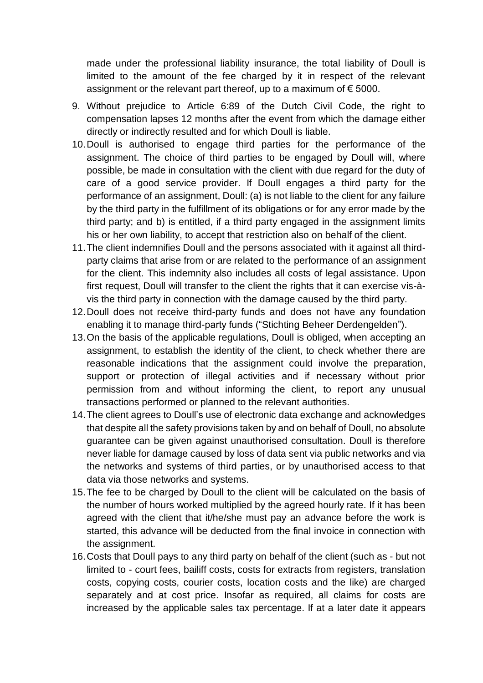made under the professional liability insurance, the total liability of Doull is limited to the amount of the fee charged by it in respect of the relevant assignment or the relevant part thereof, up to a maximum of  $\epsilon$  5000.

- 9. Without prejudice to Article 6:89 of the Dutch Civil Code, the right to compensation lapses 12 months after the event from which the damage either directly or indirectly resulted and for which Doull is liable.
- 10.Doull is authorised to engage third parties for the performance of the assignment. The choice of third parties to be engaged by Doull will, where possible, be made in consultation with the client with due regard for the duty of care of a good service provider. If Doull engages a third party for the performance of an assignment, Doull: (a) is not liable to the client for any failure by the third party in the fulfillment of its obligations or for any error made by the third party; and b) is entitled, if a third party engaged in the assignment limits his or her own liability, to accept that restriction also on behalf of the client.
- 11.The client indemnifies Doull and the persons associated with it against all thirdparty claims that arise from or are related to the performance of an assignment for the client. This indemnity also includes all costs of legal assistance. Upon first request, Doull will transfer to the client the rights that it can exercise vis-àvis the third party in connection with the damage caused by the third party.
- 12.Doull does not receive third-party funds and does not have any foundation enabling it to manage third-party funds ("Stichting Beheer Derdengelden").
- 13.On the basis of the applicable regulations, Doull is obliged, when accepting an assignment, to establish the identity of the client, to check whether there are reasonable indications that the assignment could involve the preparation, support or protection of illegal activities and if necessary without prior permission from and without informing the client, to report any unusual transactions performed or planned to the relevant authorities.
- 14.The client agrees to Doull's use of electronic data exchange and acknowledges that despite all the safety provisions taken by and on behalf of Doull, no absolute guarantee can be given against unauthorised consultation. Doull is therefore never liable for damage caused by loss of data sent via public networks and via the networks and systems of third parties, or by unauthorised access to that data via those networks and systems.
- 15.The fee to be charged by Doull to the client will be calculated on the basis of the number of hours worked multiplied by the agreed hourly rate. If it has been agreed with the client that it/he/she must pay an advance before the work is started, this advance will be deducted from the final invoice in connection with the assignment.
- 16.Costs that Doull pays to any third party on behalf of the client (such as but not limited to - court fees, bailiff costs, costs for extracts from registers, translation costs, copying costs, courier costs, location costs and the like) are charged separately and at cost price. Insofar as required, all claims for costs are increased by the applicable sales tax percentage. If at a later date it appears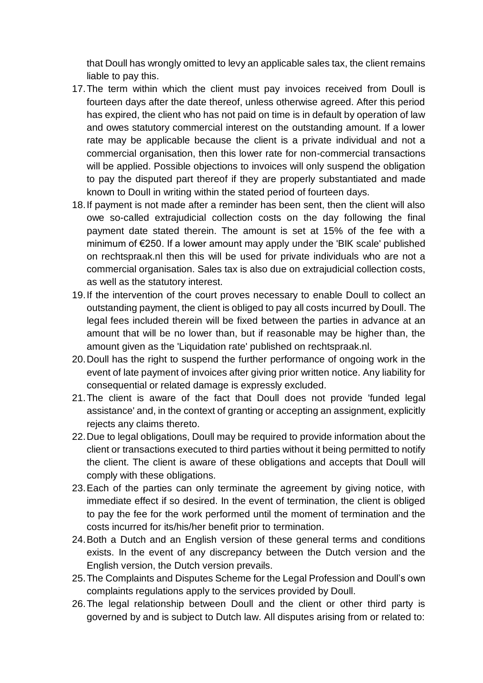that Doull has wrongly omitted to levy an applicable sales tax, the client remains liable to pay this.

- 17.The term within which the client must pay invoices received from Doull is fourteen days after the date thereof, unless otherwise agreed. After this period has expired, the client who has not paid on time is in default by operation of law and owes statutory commercial interest on the outstanding amount. If a lower rate may be applicable because the client is a private individual and not a commercial organisation, then this lower rate for non-commercial transactions will be applied. Possible objections to invoices will only suspend the obligation to pay the disputed part thereof if they are properly substantiated and made known to Doull in writing within the stated period of fourteen days.
- 18.If payment is not made after a reminder has been sent, then the client will also owe so-called extrajudicial collection costs on the day following the final payment date stated therein. The amount is set at 15% of the fee with a minimum of €250. If a lower amount may apply under the 'BIK scale' published on rechtspraak.nl then this will be used for private individuals who are not a commercial organisation. Sales tax is also due on extrajudicial collection costs, as well as the statutory interest.
- 19.If the intervention of the court proves necessary to enable Doull to collect an outstanding payment, the client is obliged to pay all costs incurred by Doull. The legal fees included therein will be fixed between the parties in advance at an amount that will be no lower than, but if reasonable may be higher than, the amount given as the 'Liquidation rate' published on rechtspraak.nl.
- 20.Doull has the right to suspend the further performance of ongoing work in the event of late payment of invoices after giving prior written notice. Any liability for consequential or related damage is expressly excluded.
- 21.The client is aware of the fact that Doull does not provide 'funded legal assistance' and, in the context of granting or accepting an assignment, explicitly rejects any claims thereto.
- 22.Due to legal obligations, Doull may be required to provide information about the client or transactions executed to third parties without it being permitted to notify the client. The client is aware of these obligations and accepts that Doull will comply with these obligations.
- 23.Each of the parties can only terminate the agreement by giving notice, with immediate effect if so desired. In the event of termination, the client is obliged to pay the fee for the work performed until the moment of termination and the costs incurred for its/his/her benefit prior to termination.
- 24.Both a Dutch and an English version of these general terms and conditions exists. In the event of any discrepancy between the Dutch version and the English version, the Dutch version prevails.
- 25.The Complaints and Disputes Scheme for the Legal Profession and Doull's own complaints regulations apply to the services provided by Doull.
- 26.The legal relationship between Doull and the client or other third party is governed by and is subject to Dutch law. All disputes arising from or related to: